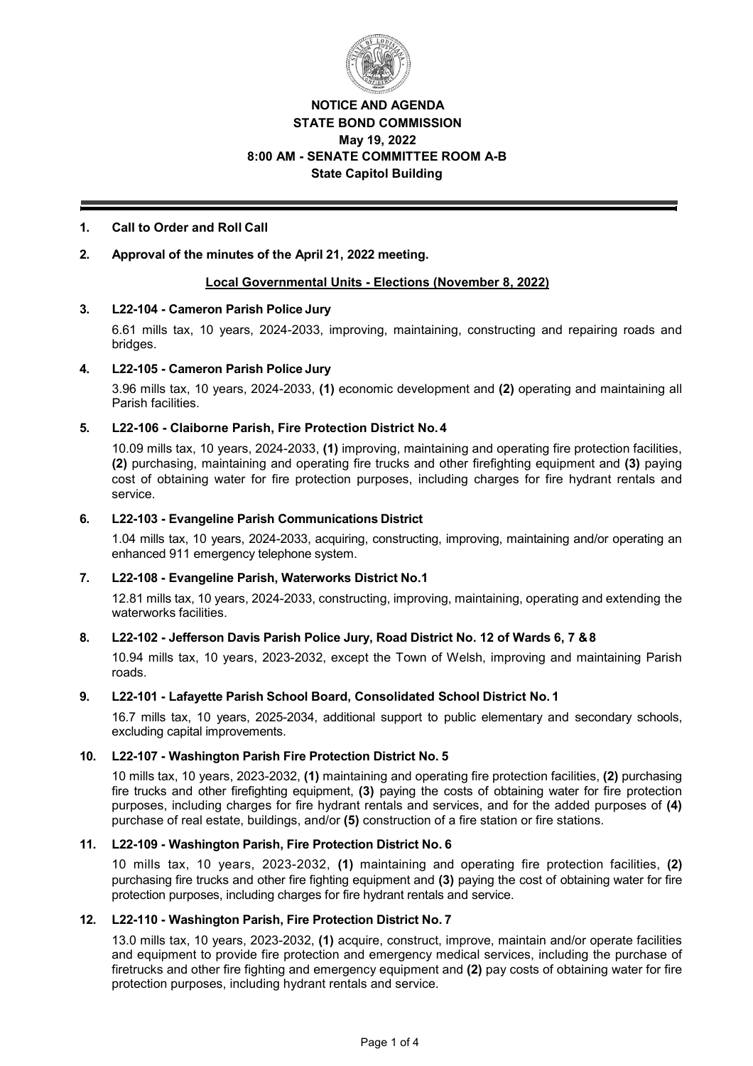

# **NOTICE AND AGENDA STATE BOND COMMISSION May 19, 2022 8:00 AM - SENATE COMMITTEE ROOM A-B State Capitol Building**

# **1. Call to Order and Roll Call**

# **2. Approval of the minutes of the April 21, 2022 meeting.**

## **Local Governmental Units Elections (November 8, 2022)**

## **3. L22104 Cameron Parish Police Jury**

6.61 mills tax, 10 years, 20242033, improving, maintaining, constructing and repairing roads and bridges.

### **4. L22105 Cameron Parish Police Jury**

3.96 mills tax, 10 years, 20242033, **(1)** economic development and **(2)** operating and maintaining all Parish facilities.

### **5. L22106 Claiborne Parish, Fire Protection District No.4**

10.09 mills tax, 10 years, 20242033, **(1)** improving, maintaining and operating fire protection facilities, **(2)** purchasing, maintaining and operating fire trucks and other firefighting equipment and **(3)** paying cost of obtaining water for fire protection purposes, including charges for fire hydrant rentals and service.

### **6. L22103 Evangeline Parish Communications District**

1.04 mills tax, 10 years, 2024-2033, acquiring, constructing, improving, maintaining and/or operating an enhanced 911 emergency telephone system.

## **7. L22108 Evangeline Parish, Waterworks District No.1**

12.81 mills tax, 10 years, 2024-2033, constructing, improving, maintaining, operating and extending the waterworks facilities.

## **8. L22102 Jefferson Davis Parish Police Jury, Road District No. 12 of Wards 6, 7 &8**

10.94 mills tax, 10 years, 2023-2032, except the Town of Welsh, improving and maintaining Parish roads.

#### **9. L22101 Lafayette Parish School Board, Consolidated School District No. 1**

16.7 mills tax, 10 years, 20252034, additional support to public elementary and secondary schools, excluding capital improvements.

#### **10. L22107 Washington Parish Fire Protection District No. 5**

10 mills tax, 10 years, 2023-2032, (1) maintaining and operating fire protection facilities, (2) purchasing fire trucks and other firefighting equipment, **(3)** paying the costs of obtaining water for fire protection purposes, including charges for fire hydrant rentals and services, and for the added purposes of **(4)**  purchase of real estate, buildings, and/or **(5)** construction of a fire station or fire stations.

#### **11. L22109 Washington Parish, Fire Protection District No. 6**

10 mills tax, 10 years, 2023-2032, (1) maintaining and operating fire protection facilities, (2) purchasing fire trucks and other fire fighting equipment and **(3)** paying the cost of obtaining water for fire protection purposes, including charges for fire hydrant rentals and service.

## **12. L22110 Washington Parish, Fire Protection District No. 7**

13.0 mills tax, 10 years, 2023-2032, (1) acquire, construct, improve, maintain and/or operate facilities and equipment to provide fire protection and emergency medical services, including the purchase of firetrucks and other fire fighting and emergency equipment and **(2)** pay costs of obtaining water for fire protection purposes, including hydrant rentals and service.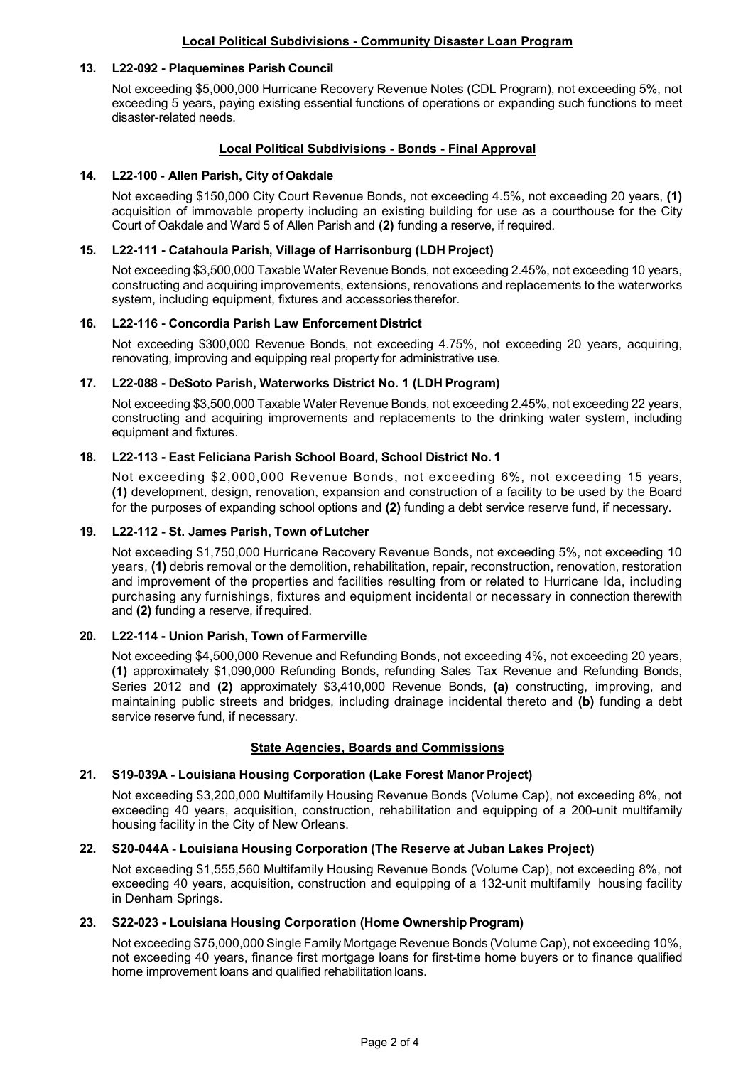# **Local Political Subdivisions Community Disaster Loan Program**

## **13. L22092 Plaquemines Parish Council**

Not exceeding \$5,000,000 Hurricane Recovery Revenue Notes (CDL Program), not exceeding 5%, not exceeding 5 years, paying existing essential functions of operations or expanding such functions to meet disaster-related needs.

## **Local Political Subdivisions - Bonds - Final Approval**

#### **14. L22100 Allen Parish, City of Oakdale**

Not exceeding \$150,000 City Court Revenue Bonds, not exceeding 4.5%, not exceeding 20 years, **(1)** acquisition of immovable property including an existing building for use as a courthouse for the City Court of Oakdale and Ward 5 of Allen Parish and **(2)** funding a reserve, if required.

#### **15. L22111 Catahoula Parish, Village of Harrisonburg (LDH Project)**

Not exceeding \$3,500,000 Taxable Water Revenue Bonds, not exceeding 2.45%, not exceeding 10 years, constructing and acquiring improvements, extensions, renovations and replacements to the waterworks system, including equipment, fixtures and accessories therefor.

### **16. L22116 Concordia Parish Law Enforcement District**

Not exceeding \$300,000 Revenue Bonds, not exceeding 4.75%, not exceeding 20 years, acquiring, renovating, improving and equipping real property for administrative use.

### **17. L22088 DeSoto Parish, Waterworks District No. 1 (LDH Program)**

Not exceeding \$3,500,000 Taxable Water Revenue Bonds, not exceeding 2.45%, not exceeding 22 years, constructing and acquiring improvements and replacements to the drinking water system, including equipment and fixtures.

### **18. L22113 East Feliciana Parish School Board, School District No. 1**

Not exceeding \$2,000,000 Revenue Bonds, not exceeding 6%, not exceeding 15 years, **(1)** development, design, renovation, expansion and construction of a facility to be used by the Board for the purposes of expanding school options and **(2)** funding a debt service reserve fund, if necessary.

## **19. L22112 St. James Parish, Town ofLutcher**

Not exceeding \$1,750,000 Hurricane Recovery Revenue Bonds, not exceeding 5%, not exceeding 10 years, **(1)** debris removal or the demolition, rehabilitation, repair, reconstruction, renovation, restoration and improvement of the properties and facilities resulting from or related to Hurricane Ida, including purchasing any furnishings, fixtures and equipment incidental or necessary in connection therewith and **(2)** funding a reserve, ifrequired.

## **20. L22114 Union Parish, Town of Farmerville**

Not exceeding \$4,500,000 Revenue and Refunding Bonds, not exceeding 4%, not exceeding 20 years, **(1)** approximately \$1,090,000 Refunding Bonds, refunding Sales Tax Revenue and Refunding Bonds, Series 2012 and **(2)** approximately \$3,410,000 Revenue Bonds, **(a)** constructing, improving, and maintaining public streets and bridges, including drainage incidental thereto and **(b)** funding a debt service reserve fund, if necessary.

#### **State Agencies, Boards and Commissions**

#### **21. S19039A Louisiana Housing Corporation (Lake Forest ManorProject)**

Not exceeding \$3,200,000 Multifamily Housing Revenue Bonds (Volume Cap), not exceeding 8%, not exceeding 40 years, acquisition, construction, rehabilitation and equipping of a 200-unit multifamily housing facility in the City of New Orleans.

#### **22. S20044A Louisiana Housing Corporation (The Reserve at Juban Lakes Project)**

Not exceeding \$1,555,560 Multifamily Housing Revenue Bonds (Volume Cap), not exceeding 8%, not exceeding 40 years, acquisition, construction and equipping of a 132-unit multifamily housing facility in Denham Springs.

#### **23. S22023 Louisiana Housing Corporation (Home OwnershipProgram)**

Not exceeding \$75,000,000 Single Family Mortgage Revenue Bonds (Volume Cap), not exceeding 10%, not exceeding 40 years, finance first mortgage loans for first-time home buyers or to finance qualified home improvement loans and qualified rehabilitation loans.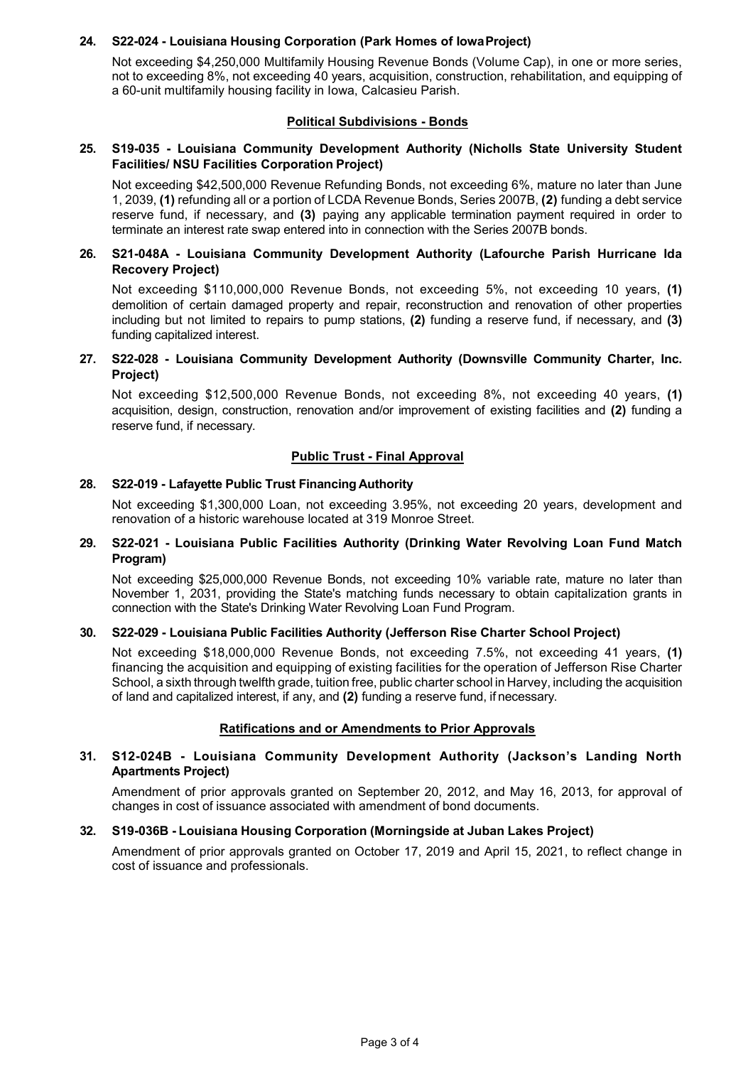## **24. S22024 Louisiana Housing Corporation (Park Homes of IowaProject)**

Not exceeding \$4,250,000 Multifamily Housing Revenue Bonds (Volume Cap), in one or more series, not to exceeding 8%, not exceeding 40 years, acquisition, construction, rehabilitation, and equipping of a 60-unit multifamily housing facility in Iowa, Calcasieu Parish.

## **Political Subdivisions - Bonds**

## **25. S19035 - Louisiana Community Development Authority (Nicholls State University Student Facilities/ NSU Facilities Corporation Project)**

Not exceeding \$42,500,000 Revenue Refunding Bonds, not exceeding 6%, mature no later than June 1, 2039, **(1)** refunding all or a portion of LCDA Revenue Bonds, Series 2007B, **(2)** funding a debt service reserve fund, if necessary, and **(3)** paying any applicable termination payment required in order to terminate an interest rate swap entered into in connection with the Series 2007B bonds.

### **26. S21048A Louisiana Community Development Authority (Lafourche Parish Hurricane Ida Recovery Project)**

Not exceeding \$110,000,000 Revenue Bonds, not exceeding 5%, not exceeding 10 years, **(1)**  demolition of certain damaged property and repair, reconstruction and renovation of other properties including but not limited to repairs to pump stations, **(2)** funding a reserve fund, if necessary, and **(3)**  funding capitalized interest.

## 27. **S22-028 - Louisiana Community Development Authority (Downsville Community Charter, Inc. Project)**

Not exceeding \$12,500,000 Revenue Bonds, not exceeding 8%, not exceeding 40 years, **(1)**  acquisition, design, construction, renovation and/or improvement of existing facilities and **(2)** funding a reserve fund, if necessary.

### **Public Trust - Final Approval**

### **28. S22019 Lafayette Public Trust Financing Authority**

Not exceeding \$1,300,000 Loan, not exceeding 3.95%, not exceeding 20 years, development and renovation of a historic warehouse located at 319 Monroe Street.

### **29. S22021 Louisiana Public Facilities Authority (Drinking Water Revolving Loan Fund Match Program)**

Not exceeding \$25,000,000 Revenue Bonds, not exceeding 10% variable rate, mature no later than November 1, 2031, providing the State's matching funds necessary to obtain capitalization grants in connection with the State's Drinking Water Revolving Loan Fund Program.

#### **30. S22029 Louisiana Public Facilities Authority (Jefferson Rise Charter School Project)**

Not exceeding \$18,000,000 Revenue Bonds, not exceeding 7.5%, not exceeding 41 years, **(1)**  financing the acquisition and equipping of existing facilities for the operation of Jefferson Rise Charter School, a sixth through twelfth grade, tuition free, public charter school in Harvey, including the acquisition of land and capitalized interest, if any, and **(2)** funding a reserve fund, if necessary.

## **Ratifications and or Amendments to Prior Approvals**

### **31. S12024B - Louisiana Community Development Authority (Jackson's Landing North Apartments Project)**

Amendment of prior approvals granted on September 20, 2012, and May 16, 2013, for approval of changes in cost of issuance associated with amendment of bond documents.

#### **32. S19036B - Louisiana Housing Corporation (Morningside at Juban Lakes Project)**

Amendment of prior approvals granted on October 17, 2019 and April 15, 2021, to reflect change in cost of issuance and professionals.